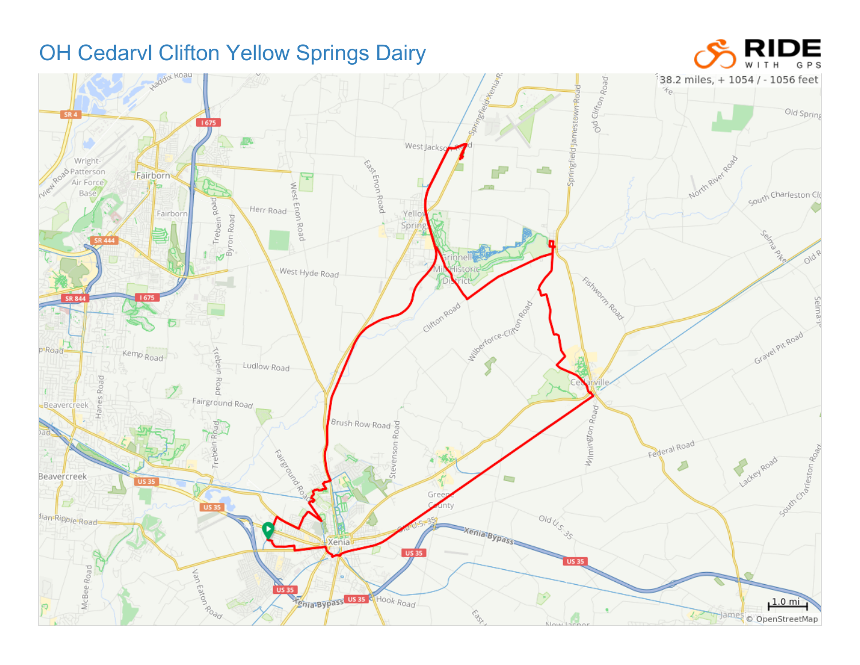## OH Cedarvl Clifton Yellow Springs Dairy



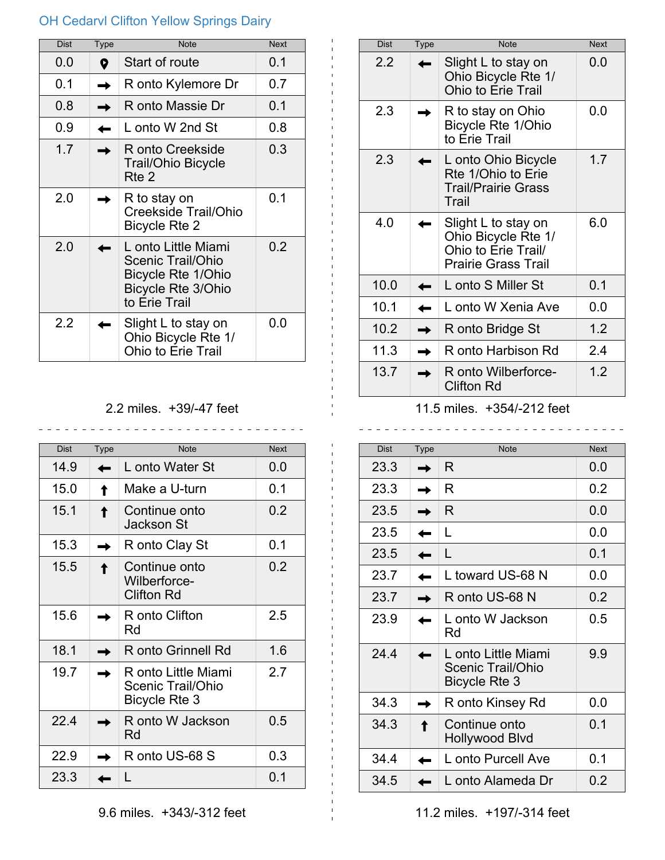## OH Cedarvl Clifton Yellow Springs Dairy

| <b>Dist</b> | <b>Type</b> | <b>Note</b>                                                                                                  | <b>Next</b> |
|-------------|-------------|--------------------------------------------------------------------------------------------------------------|-------------|
| 0.0         | 9           | Start of route                                                                                               | 0.1         |
| 0.1         |             | R onto Kylemore Dr                                                                                           | 0.7         |
| 0.8         |             | R onto Massie Dr                                                                                             | 0.1         |
| 0.9         |             | L onto W 2nd St                                                                                              | 0.8         |
| 1.7         |             | R onto Creekside<br><b>Trail/Ohio Bicycle</b><br>Rte 2                                                       | 0.3         |
| 2.0         |             | R to stay on<br>Creekside Trail/Ohio<br>Bicycle Rte 2                                                        | 0.1         |
| 2.0         |             | L onto Little Miami<br>Scenic Trail/Ohio<br>Bicycle Rte 1/Ohio<br><b>Bicycle Rte 3/Ohio</b><br>to Erie Trail | 0.2         |
| 2.2         |             | Slight L to stay on<br>Ohio Bicycle Rte 1/<br><b>Ohio to Erie Trail</b>                                      | 0.0         |

## 2.2 miles. +39/-47 feet

\_\_\_\_\_\_\_\_\_\_\_\_\_\_\_\_\_\_\_\_\_\_\_\_\_\_\_\_

| <b>Dist</b> | <b>Type</b> | <b>Note</b>                                                             | <b>Next</b> |
|-------------|-------------|-------------------------------------------------------------------------|-------------|
| 14.9        |             | L onto Water St                                                         | 0.0         |
| 15.0        |             | Make a U-turn                                                           | 0.1         |
| 15.1        |             | Continue onto<br>Jackson St                                             | 0.2         |
| 15.3        |             | R onto Clay St                                                          | 0.1         |
| 15.5        |             | Continue onto<br>Wilberforce-<br><b>Clifton Rd</b>                      | 0.2         |
| 15.6        |             | R onto Clifton<br>Rd                                                    | 2.5         |
| 18.1        |             | R onto Grinnell Rd                                                      | 1.6         |
| 19.7        |             | R onto Little Miami<br><b>Scenic Trail/Ohio</b><br><b>Bicycle Rte 3</b> | 2.7         |
| 22.4        |             | R onto W Jackson<br>Rd                                                  | 0.5         |
| 22.9        |             | R onto US-68 S                                                          | 0.3         |
| 23.3        |             | L                                                                       | 0.1         |

| <b>Dist</b> | <b>Type</b> | <b>Note</b>                                                                                     | <b>Next</b> |
|-------------|-------------|-------------------------------------------------------------------------------------------------|-------------|
| 2.2         |             | Slight L to stay on<br>Ohio Bicycle Rte 1/<br><b>Ohio to Erie Trail</b>                         | 0.0         |
| 2.3         |             | R to stay on Ohio<br>Bicycle Rte 1/Ohio<br>to Erie Trail                                        | ი ი         |
| 2.3         |             | L onto Ohio Bicycle<br>Rte 1/Ohio to Erie<br><b>Trail/Prairie Grass</b><br>Trail                | 1.7         |
| 4.0         |             | Slight L to stay on<br>Ohio Bicycle Rte 1/<br>Ohio to Erie Trail/<br><b>Prairie Grass Trail</b> | 6.0         |
| 10.0        |             | L onto S Miller St                                                                              | 0.1         |
| 10.1        |             | L onto W Xenia Ave                                                                              | 0.0         |
| 10.2        |             | R onto Bridge St                                                                                | 1.2         |
| 11.3        |             | R onto Harbison Rd                                                                              | 2.4         |
| 13.7        |             | R onto Wilberforce-<br><b>Clifton Rd</b>                                                        | 1.2         |

## 11.5 miles. +354/-212 feet

 $- - - - - -$ 

| <b>Dist</b> | <b>Type</b> | <b>Note</b>                                               | <b>Next</b> |
|-------------|-------------|-----------------------------------------------------------|-------------|
| 23.3        |             | R                                                         | 0.0         |
| 23.3        |             | R                                                         | 0.2         |
| 23.5        |             | R                                                         | 0.0         |
| 23.5        |             | L                                                         | 0.0         |
| 23.5        |             | L                                                         | 0.1         |
| 23.7        |             | L toward US-68 N                                          | 0.0         |
| 23.7        |             | R onto US-68 N                                            | 0.2         |
| 23.9        |             | L onto W Jackson<br>Rd                                    | 0.5         |
| 24.4        |             | L onto Little Miami<br>Scenic Trail/Ohio<br>Bicycle Rte 3 | 9.9         |
| 34.3        |             | R onto Kinsey Rd                                          | ი ი         |
| 34.3        |             | Continue onto<br>Hollywood Blvd                           | 0.1         |
| 34.4        |             | L onto Purcell Ave                                        | 0.1         |
| 34.5        |             | L onto Alameda Dr                                         | 0.2         |